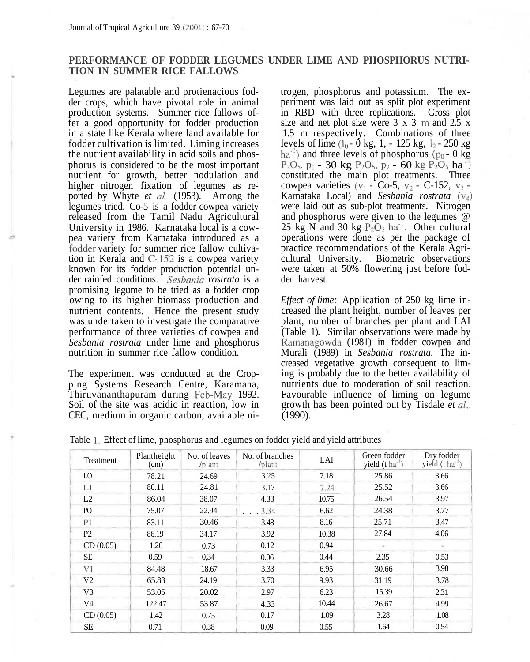Journal of Tropical Agriculture 39 (2001) : 67-70

## **PERFORMANCE OF FODDER LEGUMES UNDER LIME AND PHOSPHORUS NUTRI-TION IN SUMMER RICE FALLOWS**

Legumes are palatable and protienacious fodder crops, which have pivotal role in animal production systems. Summer rice fallows offer a good opportunity for fodder production in a state like Kerala where land available for fodder cultivation is limited. Liming increases the nutrient availability in acid soils and phosphorus is considered to be the most important nutrient for growth, better nodulation and higher nitrogen fixation of legumes as reported by Whyte *et al.* (1953). Among the legumes tried, Co-5 is a fodder cowpea variety released from the Tamil Nadu Agricultural University in 1986. Karnataka local is a cowpea variety from Karnataka introduced as a fodder variety for summer rice fallow cultivation in Kerala and C-152 is a cowpea variety known for its fodder production potential under rainfed conditions. *Sesbania rostrata* is a promising legume to be tried as a fodder crop owing to its higher biomass production and nutrient contents. Hence the present study was undertaken to investigate the comparative performance of three varieties of cowpea and *Sesbania rostrata* under lime and phosphorus nutrition in summer rice fallow condition.

The experiment was conducted at the Cropping Systems Research Centre, Karamana, Thiruvananthapuram during Feb-May 1992. Soil of the site was acidic in reaction, low in CEC, medium in organic carbon, available nitrogen, phosphorus and potassium. The experiment was laid out as split plot experiment in RBD with three replications. Gross plot size and net plot size were  $3 \times 3$  m and  $2.5 \times$ 1.5 m respectively. Combinations of three levels of lime  $(l_0 - 0$  kg, 1,  $- 125$  kg,  $l_2 - 250$  kg  $ha<sup>-1</sup>$ ) and three levels of phosphorus ( $p_0 - 0$  kg  $P_2O_5$ , p<sub>1</sub> - 30 kg P<sub>2</sub>O<sub>5</sub>, p<sub>2</sub> - 60 kg P<sub>2</sub>O<sub>5</sub> ha<sup>1</sup>) constituted the main plot treatments. Three cowpea varieties  $(v_1 - Co-5, v_2 - C-152, v_3 -$ Karnataka Local) and *Sesbania rostrata (\\$)* were laid out as sub-plot treatments. Nitrogen and phosphorus were given to the legumes @ 25 kg N and 30 kg  $P_2O_5$  ha<sup>-1</sup>. Other cultural operations were done as per the package of practice recommendations of the Kerala Agricultural University. Biometric observations were taken at 50% flowering just before fodder harvest.

*Effect of lime:* Application of 250 kg lime increased the plant height, number of leaves per plant, number of branches per plant and LAI (Table 1). Similar observations were made by Ramanagowda (1981) in fodder cowpea and Murali (1989) in *Sesbania rostrata.* The increased vegetative growth consequent to liming is probably due to the better availability of nutrients due to moderation of soil reaction. Favourable influence of liming on legume growth has been pointed out by Tisdale *et al.,* (1990).

|  | Table 1. Effect of lime, phosphorus and legumes on fodder yield and yield attributes |  |  |
|--|--------------------------------------------------------------------------------------|--|--|
|  |                                                                                      |  |  |

| Treatment      | Plantheight<br>(cm) | No. of leaves<br>/plant | No. of branches<br>/plant | LAI   | Green fodder<br>yield $(t \text{ ha}^{-1})$ | Dry fodder<br>yield $(t \text{ ha}^{-1})$ |
|----------------|---------------------|-------------------------|---------------------------|-------|---------------------------------------------|-------------------------------------------|
| LO.            | 78.21               | 24.69                   | 3.25                      | 7.18  | 25.86                                       | 3.66                                      |
| LI             | 80.11               | 24.81                   | 3.17                      | 7.24  | 25.52                                       | 3.66                                      |
| L2             | 86.04               | 38.07                   | 4.33                      | 10.75 | 26.54                                       | 3.97                                      |
| P <sub>O</sub> | 75.07               | 22.94                   | 3.34                      | 6.62  | 24.38                                       | 3.77                                      |
| P1             | 83.11               | 30.46                   | 3.48                      | 8.16  | 25.71                                       | 3.47                                      |
| P <sub>2</sub> | 86.19               | 34.17                   | 3.92                      | 10.38 | 27.84                                       | 4.06                                      |
| CD(0.05)       | 1.26                | 0.73                    | 0.12                      | 0.94  |                                             |                                           |
| <b>SE</b>      | 0.59                | 0.34<br>×п              | 0.06                      | 0.44  | 2.35                                        | 0.53                                      |
| V1             | 84.48               | 18.67                   | 3.33                      | 6.95  | 30.66                                       | 3.98                                      |
| V <sub>2</sub> | 65.83               | 24.19                   | 3.70                      | 9.93  | 31.19                                       | 3.78                                      |
| V <sub>3</sub> | 53.05               | 20.02                   | 2.97                      | 6.23  | 15.39                                       | 2.31                                      |
| V <sub>4</sub> | 122.47              | 53.87                   | 4.33                      | 10.44 | 26.67                                       | 4.99                                      |
| CD(0.05)       | 1.42                | 0.75                    | 0.17                      | 1.09  | 3.28                                        | 1.08                                      |
| <b>SE</b>      | 0.71                | 0.38                    | 0.09                      | 0.55  | 1.64                                        | 0.54                                      |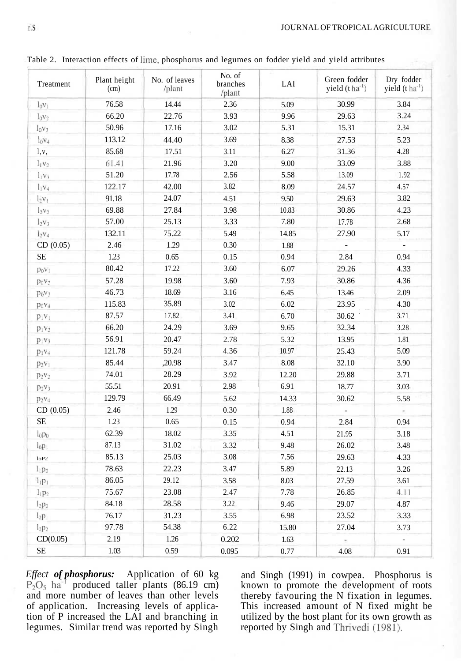| Treatment                     | Plant height<br>(cm) | No. of leaves<br>/plant | No. of<br>branches<br>/plant | LAI   | Green fodder<br>yield $(t \text{ ha}^{-1})$ | Dry fodder<br>yield (t ha <sup>-1</sup> ) |
|-------------------------------|----------------------|-------------------------|------------------------------|-------|---------------------------------------------|-------------------------------------------|
| $l_0v_1$                      | 76.58                | 14.44                   | 2.36                         | 5.09  | 30.99                                       | 3.84                                      |
| $1_0V_2$                      | 66.20                | 22.76                   | 3.93                         | 9.96  | 29.63                                       | 3.24                                      |
| $l_0v_3$                      | 50.96                | 17.16                   | 3.02                         | 5.31  | 15.31                                       | 2.34                                      |
| $1_0v_4$                      | 113.12               | 44.40                   | 3.69                         | 8.38  | 27.53                                       | 5.23                                      |
| 1, v,                         | 85.68                | 17.51                   | 3.11                         | 6.27  | 31.36                                       | 4.28                                      |
| $l_1v_2$                      | 61.41                | 21.96                   | 3.20                         | 9.00  | 33.09                                       | 3.88                                      |
| $l_1v_3$                      | 51.20                | 17.78                   | 2.56                         | 5.58  | 13.09                                       | 1.92                                      |
| $l_1v_4$                      | 122.17               | 42.00                   | 3.82                         | 8.09  | 24.57                                       | 4.57                                      |
| $1.5V_1$                      | 91.18                | 24.07                   | 4.51                         | 9.50  | 29.63                                       | 3.82                                      |
| $l_2v_2$                      | 69.88                | 27.84                   | 3.98                         | 10.83 | 30.86                                       | 4.23                                      |
| $l_2v_3$                      | 57.00                | 25.13                   | 3.33                         | 7.80  | 17.78                                       | 2.68                                      |
| 1 <sub>2</sub> V <sub>4</sub> | 132.11               | 75.22                   | 5.49                         | 14.85 | 27.90                                       | 5.17                                      |
| CD(0.05)                      | 2.46                 | 1.29                    | 0.30                         | 1.88  | $\overline{\phantom{a}}$                    | ÷,                                        |
| <b>SE</b>                     | 1.23                 | 0.65                    | 0.15                         | 0.94  | 2.84                                        | 0.94                                      |
| $p_0v_1$                      | 80.42                | 17.22                   | 3.60                         | 6.07  | 29.26                                       | 4.33                                      |
| $p_0v_2$                      | 57.28                | 19.98                   | 3.60                         | 7.93  | 30.86                                       | 4.36                                      |
| $p_0v_3$                      | 46.73                | 18.69                   | 3.16                         | 6.45  | 13.46                                       | 2.09                                      |
| $p_0v_4$                      | 115.83               | 35.89                   | 3.02                         | 6.02  | 23.95                                       | 4.30                                      |
| $p_1v_1$                      | 87.57                | 17.82                   | 3.41                         | 6.70  | 30.62                                       | 3.71                                      |
| $p_1v_2$                      | 66.20                | 24.29                   | 3.69                         | 9.65  | 32.34                                       | 3.28                                      |
| $p_1v_3$                      | 56.91                | 20.47                   | 2.78                         | 5.32  | 13.95                                       | 1.81                                      |
| $p_1v_4$                      | 121.78               | 59.24                   | 4.36                         | 10.97 | 25.43                                       | 5.09                                      |
| $p_2v_1$                      | 85.44                | ,20.98                  | 3.47                         | 8.08  | 32.10                                       | 3.90                                      |
| $p_2v_2$                      | 74.01                | 28.29                   | 3.92                         | 12.20 | 29.88                                       | 3.71                                      |
| $p_2v_3$                      | 55.51                | 20.91                   | 2.98                         | 6.91  | 18.77                                       | 3.03                                      |
| $p_2v_4$                      | 129.79               | 66.49                   | 5.62                         | 14.33 | 30.62                                       | 5.58                                      |
| CD(0.05)                      | 2.46                 | 1.29                    | 0.30                         | 1.88  | $\overline{a}$                              | ÷.                                        |
| <b>SE</b>                     | 1.23                 | 0.65                    | 0.15                         | 0.94  | 2.84                                        | 0.94                                      |
| 1 <sub>0</sub> p <sub>0</sub> | 62.39                | 18.02                   | 3.35                         | 4.51  | 21.95                                       | 3.18                                      |
| $l_0p_1$                      | 87.13                | 31.02                   | 3.32                         | 9.48  | 26.02                                       | 3.48                                      |
| 10P2                          | 85.13                | 25.03                   | 3.08                         | 7.56  | 29.63                                       | 4.33                                      |
| $l_1p_0$                      | 78.63                | 22.23                   | 3.47                         | 5.89  | 22.13                                       | 3.26                                      |
| $1_{1}p_{1}$                  | 86.05                | 29.12                   | 3.58                         | 8.03  | 27.59                                       | 3.61                                      |
| $l_1p_2$                      | 75.67                | 23.08                   | 2.47                         | 7.78  | 26.85                                       | 4.11                                      |
| $l_2p_0$                      | 84.18                | 28.58                   | 3.22                         | 9.46  | 29.07                                       | 4.87                                      |
| $l_2p_1$                      | 76.17                | 31.23                   | 3.55                         | 6.98  | 23.52                                       | 3.33                                      |
| $l_2p_2$                      | 97.78                | 54.38                   | 6.22                         | 15.80 | 27.04                                       | 3.73                                      |
| CD(0.05)                      | 2.19                 | 1.26                    | 0.202                        | 1.63  |                                             |                                           |
| <b>SE</b>                     | 1.03                 | 0.59                    | 0.095                        | 0.77  | 4.08                                        | 0.91                                      |

Table 2. Interaction effects of lime, phosphorus and legumes on fodder yield and yield attributes

*Effect of phosphorus:* Application of 60 kg  $P_2O_5$  ha<sup>-1</sup> produced taller plants (86.19 cm) and more number of leaves than other levels of application. Increasing levels of application of P increased the LAI and branching in legumes. Similar trend was reported by Singh

and Singh (1991) in cowpea. Phosphorus is known to promote the development of roots thereby favouring the N fixation in legumes. This increased amount of N fixed might be utilized by the host plant for its own growth as reported by Singh and Thrivedi (1981).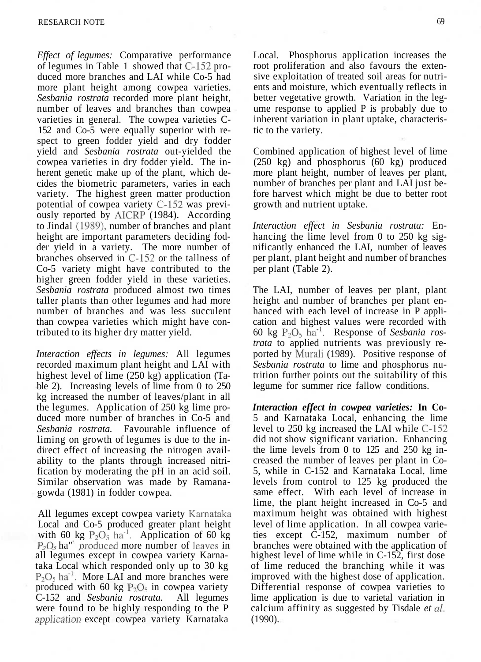*Effect of legumes:* Comparative performance of legumes in Table 1 showed that C-152 produced more branches and LAI while Co-5 had more plant height among cowpea varieties. *Sesbania rostrata* recorded more plant height, number of leaves and branches than cowpea varieties in general. The cowpea varieties C-152 and Co-5 were equally superior with respect to green fodder yield and dry fodder yield and *Sesbania rostrata* out-yielded the cowpea varieties in dry fodder yield. The inherent genetic make up of the plant, which decides the biometric parameters, varies in each variety. The highest green matter production potential of cowpea variety C-152 was previously reported by AICRP (1984). According to Jindal (1989), number of branches and plant height are important parameters deciding fodder yield in a variety. The more number of branches observed in C-152 or the tallness of Co-5 variety might have contributed to the higher green fodder yield in these varieties. *Sesbania rostrata* produced almost two times taller plants than other legumes and had more number of branches and was less succulent than cowpea varieties which might have contributed to its higher dry matter yield.

*Interaction effects in legumes:* All legumes recorded maximum plant height and LAI with highest level of lime (250 kg) application (Table 2). Increasing levels of lime from 0 to 250 kg increased the number of leaves/plant in all the legumes. Application of 250 kg lime produced more number of branches in Co-5 and *Sesbania rostrata.* Favourable influence of liming on growth of legumes is due to the indirect effect of increasing the nitrogen availability to the plants through increased nitrification by moderating the pH in an acid soil. Similar observation was made by Ramanagowda (1981) in fodder cowpea.

All legumes except cowpea variety Karnataka Local and Co-5 produced greater plant height with 60 kg  $P_2O_5$  ha<sup>-1</sup>. Application of 60 kg  $P<sub>2</sub>O<sub>5</sub>$  ha" produced more number of leaves in all legumes except in cowpea variety Karnataka Local which responded only up to 30 kg  $P_2O_5$  ha<sup>-1</sup>. More LAI and more branches were produced with 60 kg  $P_2O_5$  in cowpea variety C-152 and *Sesbania rostrata.* All legumes were found to be highly responding to the P *application* except cowpea variety Karnataka

Local. Phosphorus application increases the root proliferation and also favours the extensive exploitation of treated soil areas for nutrients and moisture, which eventually reflects in better vegetative growth. Variation in the legume response to applied P is probably due to inherent variation in plant uptake, characteristic to the variety.

Combined application of highest level of lime (250 kg) and phosphorus (60 kg) produced more plant height, number of leaves per plant, number of branches per plant and LAI just before harvest which might be due to better root growth and nutrient uptake.

*Interaction effect in Sesbania rostrata:* Enhancing the lime level from 0 to 250 kg significantly enhanced the LAI, number of leaves per plant, plant height and number of branches per plant (Table 2).

The LAI, number of leaves per plant, plant height and number of branches per plant enhanced with each level of increase in P application and highest values were recorded with 60 kg  $P_2O_5$  ha<sup>-1</sup>. Response of Sesbania ros*trata* to applied nutrients was previously reported by Murali (1989). Positive response of *Sesbania rostrata* to lime and phosphorus nutrition further points out the suitability of this legume for summer rice fallow conditions.

*Interaction effect in cowpea varieties:* **In Co-**5 and Karnataka Local, enhancing the lime level to 250 kg increased the LAI while C-152 did not show significant variation. Enhancing the lime levels from 0 to 125 and 250 kg increased the number of leaves per plant in Co-5, while in C-152 and Karnataka Local, lime levels from control to 125 kg produced the same effect. With each level of increase in lime, the plant height increased in Co-5 and maximum height was obtained with highest level of lime application. In all cowpea varieties except C-152, maximum number of branches were obtained with the application of highest level of lime while in C-152, first dose of lime reduced the branching while it was improved with the highest dose of application. Differential response of cowpea varieties to lime application is due to varietal variation in calcium affinity as suggested by Tisdale *et al.* (1990).